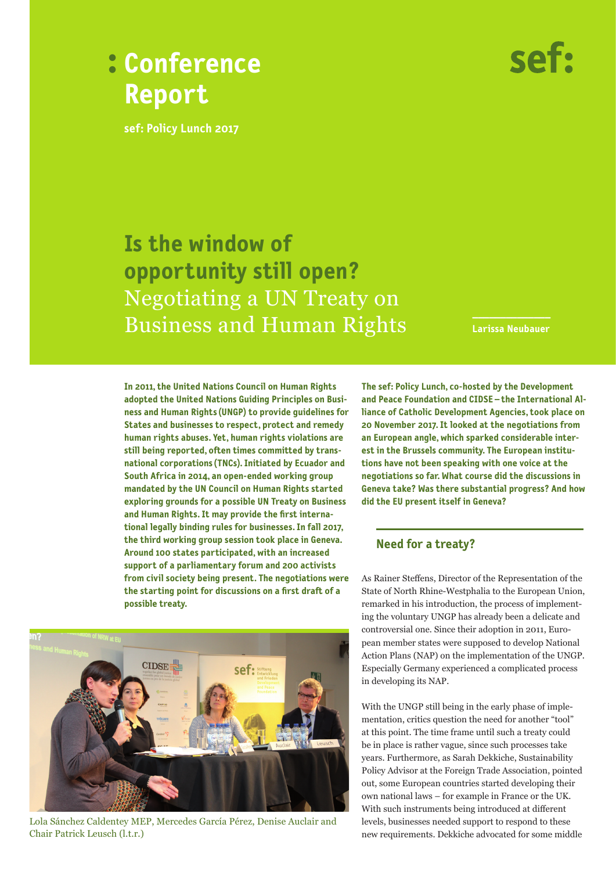



**sef: Policy Lunch 2017**

# **Is the window of opportunity still open?** Negotiating a UN Treaty on **Business and Human Rights**

**Larissa Neubauer**

**In 2011, the United Nations Council on Human Rights adopted the United Nations Guiding Principles on Business and Human Rights (UNGP) to provide guidelines for States and businesses to respect, protect and remedy human rights abuses. Yet, human rights violations are still being reported, often times committed by transnational corporations (TNCs). Initiated by Ecuador and South Africa in 2014, an open-ended working group mandated by the UN Council on Human Rights started exploring grounds for a possible UN Treaty on Business and Human Rights. It may provide the first international legally binding rules for businesses. In fall 2017, the third working group session took place in Geneva. Around 100 states participated, with an increased support of a parliamentary forum and 200 activists from civil society being present. The negotiations were the starting point for discussions on a first draft of a possible treaty.** 



Lola Sánchez Caldentey MEP, Mercedes García Pérez, Denise Auclair and Chair Patrick Leusch (l.t.r.)

**The sef: Policy Lunch, co-hosted by the Development and Peace Foundation and CIDSE – the International Alliance of Catholic Development Agencies, took place on 20 November 2017. It looked at the negotiations from an European angle, which sparked considerable interest in the Brussels community. The European institutions have not been speaking with one voice at the negotiations so far. What course did the discussions in Geneva take? Was there substantial progress? And how did the EU present itself in Geneva?**

## **Need for a treaty?**

As Rainer Steffens, Director of the Representation of the State of North Rhine-Westphalia to the European Union, remarked in his introduction, the process of implementing the voluntary UNGP has already been a delicate and controversial one. Since their adoption in 2011, European member states were supposed to develop National Action Plans (NAP) on the implementation of the UNGP. Especially Germany experienced a complicated process in developing its NAP.

With the UNGP still being in the early phase of implementation, critics question the need for another "tool" at this point. The time frame until such a treaty could be in place is rather vague, since such processes take years. Furthermore, as Sarah Dekkiche, Sustainability Policy Advisor at the Foreign Trade Association, pointed out, some European countries started developing their own national laws – for example in France or the UK. With such instruments being introduced at different levels, businesses needed support to respond to these new requirements. Dekkiche advocated for some middle